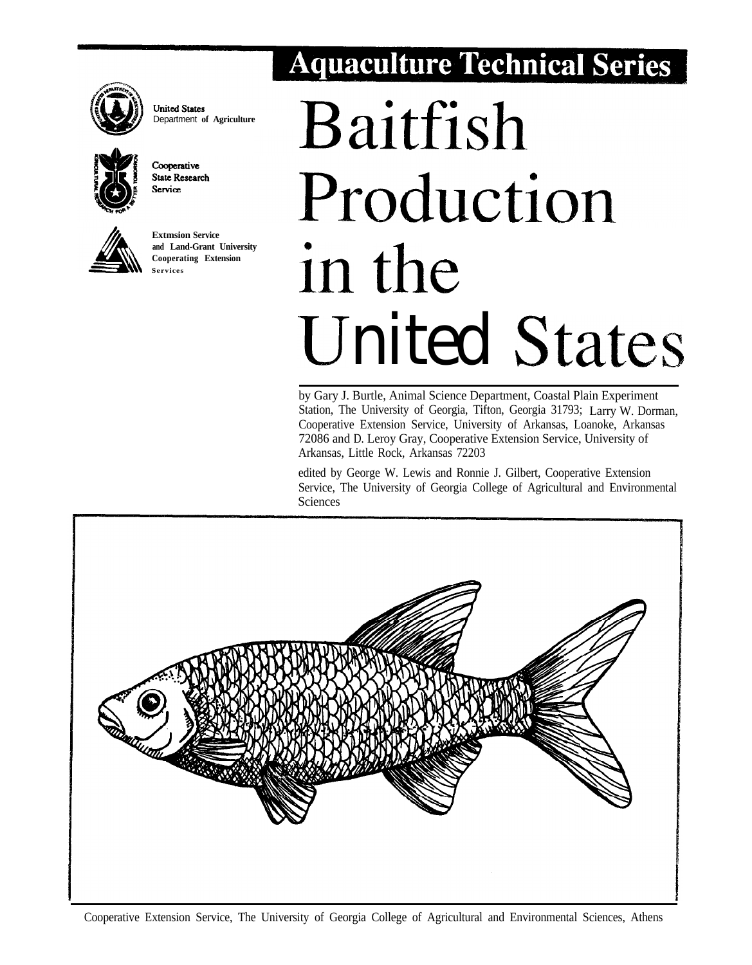

**United States** Department **of Agriculture**



Cooperative **State Research** Service



**Extmsion Service and Land-Grant University**

# **Aquaculture Technical Series**

# **Baitfish** Production **<sup>h</sup> Cooperating Extension i n** Ll- - **Services III me United States**

by Gary J. Burtle, Animal Science Department, Coastal Plain Experiment Station, The University of Georgia, Tifton, Georgia 31793; Larry W. Dorman, Cooperative Extension Service, University of Arkansas, Loanoke, Arkansas 72086 and D. Leroy Gray, Cooperative Extension Service, University of Arkansas, Little Rock, Arkansas 72203

edited by George W. Lewis and Ronnie J. Gilbert, Cooperative Extension Service, The University of Georgia College of Agricultural and Environmental Sciences

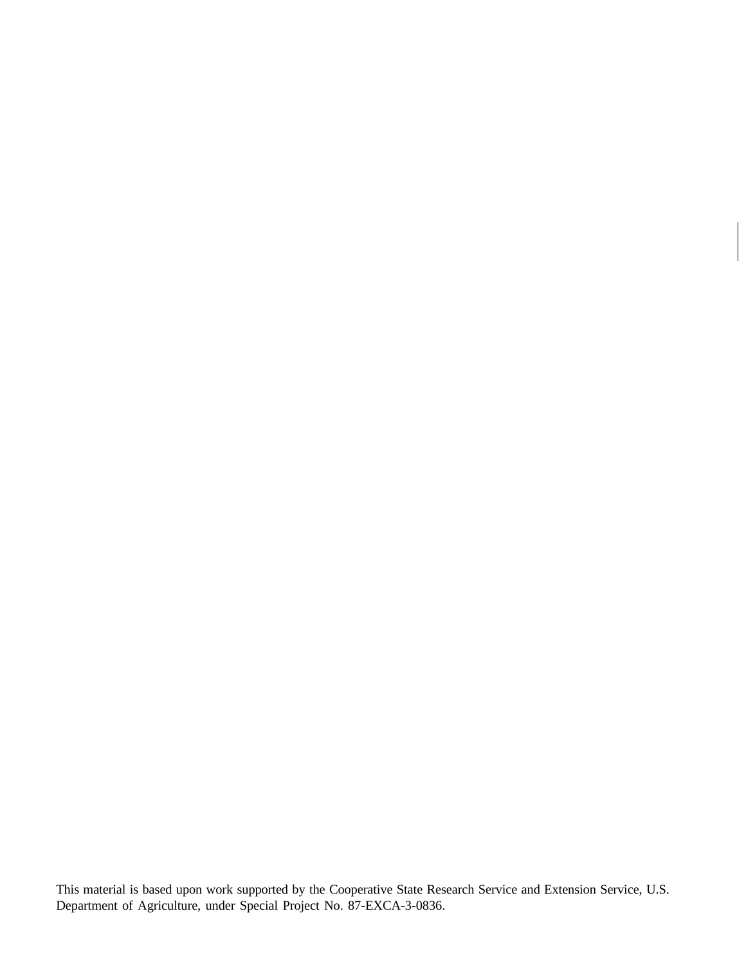This material is based upon work supported by the Cooperative State Research Service and Extension Service, U.S. Department of Agriculture, under Special Project No. 87-EXCA-3-0836.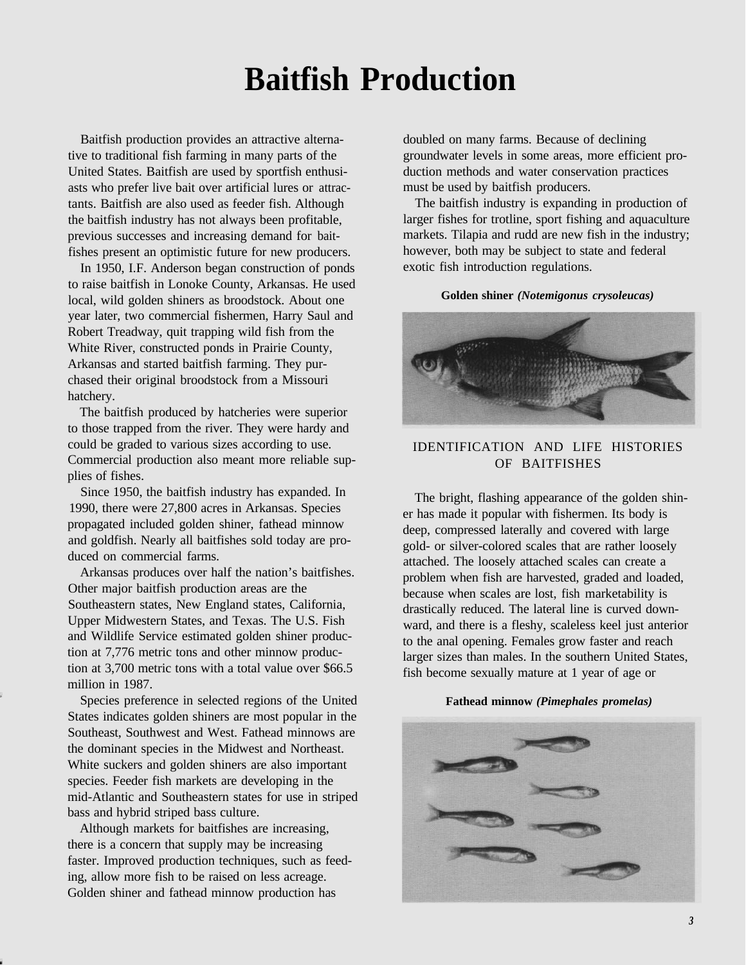# **Baitfish Production**

Baitfish production provides an attractive alternative to traditional fish farming in many parts of the United States. Baitfish are used by sportfish enthusiasts who prefer live bait over artificial lures or attractants. Baitfish are also used as feeder fish. Although the baitfish industry has not always been profitable, previous successes and increasing demand for baitfishes present an optimistic future for new producers.

In 1950, I.F. Anderson began construction of ponds to raise baitfish in Lonoke County, Arkansas. He used local, wild golden shiners as broodstock. About one year later, two commercial fishermen, Harry Saul and Robert Treadway, quit trapping wild fish from the White River, constructed ponds in Prairie County, Arkansas and started baitfish farming. They purchased their original broodstock from a Missouri hatchery.

The baitfish produced by hatcheries were superior to those trapped from the river. They were hardy and could be graded to various sizes according to use. Commercial production also meant more reliable supplies of fishes.

Since 1950, the baitfish industry has expanded. In 1990, there were 27,800 acres in Arkansas. Species propagated included golden shiner, fathead minnow and goldfish. Nearly all baitfishes sold today are produced on commercial farms.

Arkansas produces over half the nation's baitfishes. Other major baitfish production areas are the Southeastern states, New England states, California, Upper Midwestern States, and Texas. The U.S. Fish and Wildlife Service estimated golden shiner production at 7,776 metric tons and other minnow production at 3,700 metric tons with a total value over \$66.5 million in 1987.

Species preference in selected regions of the United States indicates golden shiners are most popular in the Southeast, Southwest and West. Fathead minnows are the dominant species in the Midwest and Northeast. White suckers and golden shiners are also important species. Feeder fish markets are developing in the mid-Atlantic and Southeastern states for use in striped bass and hybrid striped bass culture.

Although markets for baitfishes are increasing, there is a concern that supply may be increasing faster. Improved production techniques, such as feeding, allow more fish to be raised on less acreage. Golden shiner and fathead minnow production has

doubled on many farms. Because of declining groundwater levels in some areas, more efficient production methods and water conservation practices must be used by baitfish producers.

The baitfish industry is expanding in production of larger fishes for trotline, sport fishing and aquaculture markets. Tilapia and rudd are new fish in the industry; however, both may be subject to state and federal exotic fish introduction regulations.

#### **Golden shiner** *(Notemigonus crysoleucas)*



# IDENTIFICATION AND LIFE HISTORIES OF BAITFISHES

The bright, flashing appearance of the golden shiner has made it popular with fishermen. Its body is deep, compressed laterally and covered with large gold- or silver-colored scales that are rather loosely attached. The loosely attached scales can create a problem when fish are harvested, graded and loaded, because when scales are lost, fish marketability is drastically reduced. The lateral line is curved downward, and there is a fleshy, scaleless keel just anterior to the anal opening. Females grow faster and reach larger sizes than males. In the southern United States, fish become sexually mature at 1 year of age or

#### **Fathead minnow** *(Pimephales promelas)*

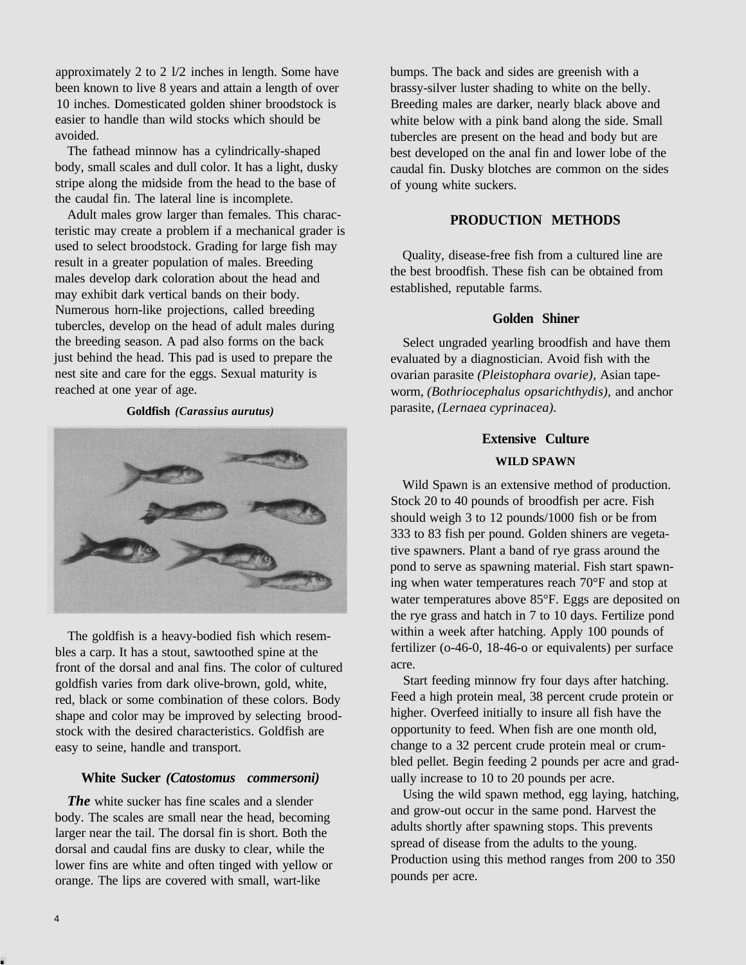approximately 2 to 2 l/2 inches in length. Some have been known to live 8 years and attain a length of over 10 inches. Domesticated golden shiner broodstock is easier to handle than wild stocks which should be avoided.

The fathead minnow has a cylindrically-shaped body, small scales and dull color. It has a light, dusky stripe along the midside from the head to the base of the caudal fin. The lateral line is incomplete.

Adult males grow larger than females. This characteristic may create a problem if a mechanical grader is used to select broodstock. Grading for large fish may result in a greater population of males. Breeding males develop dark coloration about the head and may exhibit dark vertical bands on their body. Numerous horn-like projections, called breeding tubercles, develop on the head of adult males during the breeding season. A pad also forms on the back just behind the head. This pad is used to prepare the nest site and care for the eggs. Sexual maturity is reached at one year of age.

#### **Goldfish** *(Carassius aurutus)*



The goldfish is a heavy-bodied fish which resembles a carp. It has a stout, sawtoothed spine at the front of the dorsal and anal fins. The color of cultured goldfish varies from dark olive-brown, gold, white, red, black or some combination of these colors. Body shape and color may be improved by selecting broodstock with the desired characteristics. Goldfish are easy to seine, handle and transport.

# **White Sucker** *(Catostomus commersoni)*

*The* white sucker has fine scales and a slender body. The scales are small near the head, becoming larger near the tail. The dorsal fin is short. Both the dorsal and caudal fins are dusky to clear, while the lower fins are white and often tinged with yellow or orange. The lips are covered with small, wart-like

bumps. The back and sides are greenish with a brassy-silver luster shading to white on the belly. Breeding males are darker, nearly black above and white below with a pink band along the side. Small tubercles are present on the head and body but are best developed on the anal fin and lower lobe of the caudal fin. Dusky blotches are common on the sides of young white suckers.

# **PRODUCTION METHODS**

Quality, disease-free fish from a cultured line are the best broodfish. These fish can be obtained from established, reputable farms.

# **Golden Shiner**

Select ungraded yearling broodfish and have them evaluated by a diagnostician. Avoid fish with the ovarian parasite *(Pleistophara ovarie),* Asian tapeworm, *(Bothriocephalus opsarichthydis),* and anchor parasite, *(Lernaea cyprinacea).*

# **Extensive Culture WILD SPAWN**

Wild Spawn is an extensive method of production. Stock 20 to 40 pounds of broodfish per acre. Fish should weigh 3 to 12 pounds/1000 fish or be from 333 to 83 fish per pound. Golden shiners are vegetative spawners. Plant a band of rye grass around the pond to serve as spawning material. Fish start spawning when water temperatures reach 70°F and stop at water temperatures above 85°F. Eggs are deposited on the rye grass and hatch in 7 to 10 days. Fertilize pond within a week after hatching. Apply 100 pounds of fertilizer (o-46-0, 18-46-o or equivalents) per surface acre.

Start feeding minnow fry four days after hatching. Feed a high protein meal, 38 percent crude protein or higher. Overfeed initially to insure all fish have the opportunity to feed. When fish are one month old, change to a 32 percent crude protein meal or crumbled pellet. Begin feeding 2 pounds per acre and gradually increase to 10 to 20 pounds per acre.

Using the wild spawn method, egg laying, hatching, and grow-out occur in the same pond. Harvest the adults shortly after spawning stops. This prevents spread of disease from the adults to the young. Production using this method ranges from 200 to 350 pounds per acre.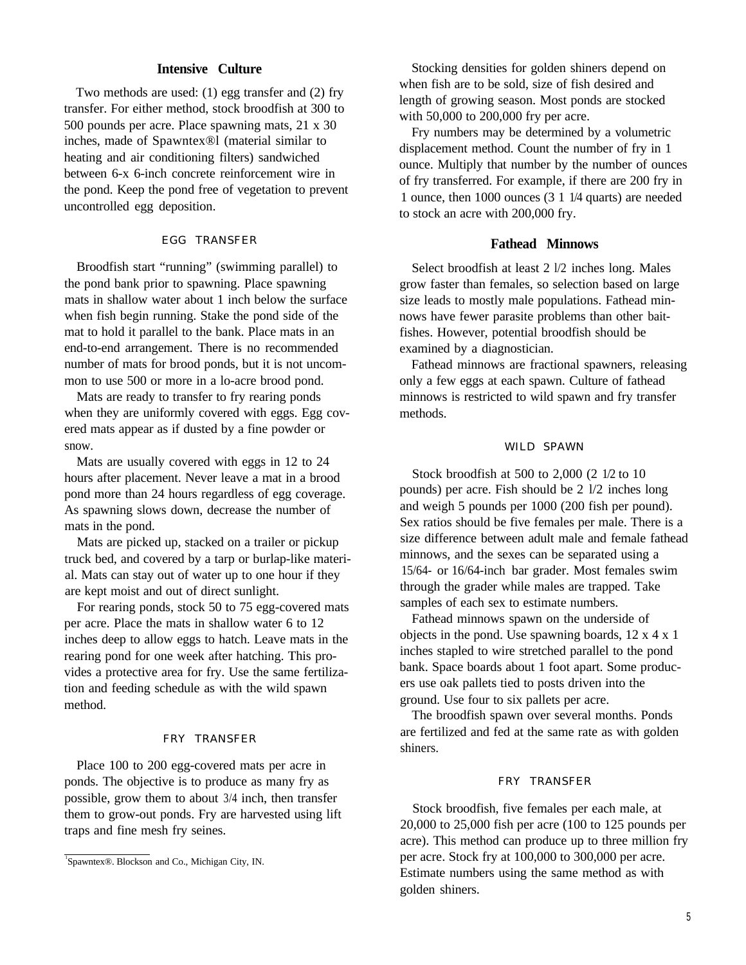# **Intensive Culture**

Two methods are used: (1) egg transfer and (2) fry transfer. For either method, stock broodfish at 300 to 500 pounds per acre. Place spawning mats, 21 x 30 inches, made of Spawntex®l (material similar to heating and air conditioning filters) sandwiched between 6-x 6-inch concrete reinforcement wire in the pond. Keep the pond free of vegetation to prevent uncontrolled egg deposition.

#### EGG TRANSFER

Broodfish start "running" (swimming parallel) to the pond bank prior to spawning. Place spawning mats in shallow water about 1 inch below the surface when fish begin running. Stake the pond side of the mat to hold it parallel to the bank. Place mats in an end-to-end arrangement. There is no recommended number of mats for brood ponds, but it is not uncommon to use 500 or more in a lo-acre brood pond.

Mats are ready to transfer to fry rearing ponds when they are uniformly covered with eggs. Egg covered mats appear as if dusted by a fine powder or snow.

Mats are usually covered with eggs in 12 to 24 hours after placement. Never leave a mat in a brood pond more than 24 hours regardless of egg coverage. As spawning slows down, decrease the number of mats in the pond.

Mats are picked up, stacked on a trailer or pickup truck bed, and covered by a tarp or burlap-like material. Mats can stay out of water up to one hour if they are kept moist and out of direct sunlight.

For rearing ponds, stock 50 to 75 egg-covered mats per acre. Place the mats in shallow water 6 to 12 inches deep to allow eggs to hatch. Leave mats in the rearing pond for one week after hatching. This provides a protective area for fry. Use the same fertilization and feeding schedule as with the wild spawn method.

#### FRY TRANSFER

Place 100 to 200 egg-covered mats per acre in ponds. The objective is to produce as many fry as possible, grow them to about 3/4 inch, then transfer them to grow-out ponds. Fry are harvested using lift traps and fine mesh fry seines.

Stocking densities for golden shiners depend on when fish are to be sold, size of fish desired and length of growing season. Most ponds are stocked with 50,000 to 200,000 fry per acre.

Fry numbers may be determined by a volumetric displacement method. Count the number of fry in 1 ounce. Multiply that number by the number of ounces of fry transferred. For example, if there are 200 fry in 1 ounce, then 1000 ounces (3 1 1/4 quarts) are needed to stock an acre with 200,000 fry.

# **Fathead Minnows**

Select broodfish at least 2 l/2 inches long. Males grow faster than females, so selection based on large size leads to mostly male populations. Fathead minnows have fewer parasite problems than other baitfishes. However, potential broodfish should be examined by a diagnostician.

Fathead minnows are fractional spawners, releasing only a few eggs at each spawn. Culture of fathead minnows is restricted to wild spawn and fry transfer methods.

#### WILD SPAWN

Stock broodfish at 500 to 2,000 (2 1/2 to 10 pounds) per acre. Fish should be 2 l/2 inches long and weigh 5 pounds per 1000 (200 fish per pound). Sex ratios should be five females per male. There is a size difference between adult male and female fathead minnows, and the sexes can be separated using a 15/64- or 16/64-inch bar grader. Most females swim through the grader while males are trapped. Take samples of each sex to estimate numbers.

Fathead minnows spawn on the underside of objects in the pond. Use spawning boards, 12 x 4 x 1 inches stapled to wire stretched parallel to the pond bank. Space boards about 1 foot apart. Some producers use oak pallets tied to posts driven into the ground. Use four to six pallets per acre.

The broodfish spawn over several months. Ponds are fertilized and fed at the same rate as with golden shiners.

#### FRY TRANSFER

Stock broodfish, five females per each male, at 20,000 to 25,000 fish per acre (100 to 125 pounds per acre). This method can produce up to three million fry per acre. Stock fry at 100,000 to 300,000 per acre. Estimate numbers using the same method as with golden shiners.

<sup>1</sup> Spawntex®. Blockson and Co., Michigan City, IN.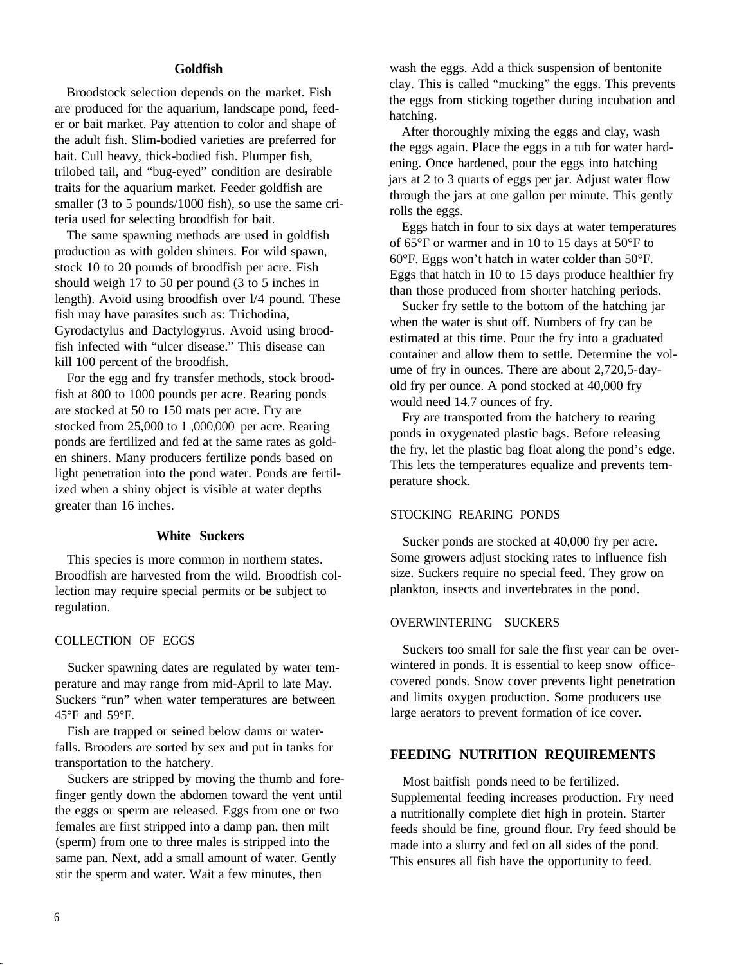# **Goldfish**

Broodstock selection depends on the market. Fish are produced for the aquarium, landscape pond, feeder or bait market. Pay attention to color and shape of the adult fish. Slim-bodied varieties are preferred for bait. Cull heavy, thick-bodied fish. Plumper fish, trilobed tail, and "bug-eyed" condition are desirable traits for the aquarium market. Feeder goldfish are smaller (3 to 5 pounds/1000 fish), so use the same criteria used for selecting broodfish for bait.

The same spawning methods are used in goldfish production as with golden shiners. For wild spawn, stock 10 to 20 pounds of broodfish per acre. Fish should weigh 17 to 50 per pound (3 to 5 inches in length). Avoid using broodfish over l/4 pound. These fish may have parasites such as: Trichodina, Gyrodactylus and Dactylogyrus. Avoid using broodfish infected with "ulcer disease." This disease can kill 100 percent of the broodfish.

For the egg and fry transfer methods, stock broodfish at 800 to 1000 pounds per acre. Rearing ponds are stocked at 50 to 150 mats per acre. Fry are stocked from 25,000 to 1 ,OOO,OOO per acre. Rearing ponds are fertilized and fed at the same rates as golden shiners. Many producers fertilize ponds based on light penetration into the pond water. Ponds are fertilized when a shiny object is visible at water depths greater than 16 inches.

#### **White Suckers**

This species is more common in northern states. Broodfish are harvested from the wild. Broodfish collection may require special permits or be subject to regulation.

#### COLLECTION OF EGGS

Sucker spawning dates are regulated by water temperature and may range from mid-April to late May. Suckers "run" when water temperatures are between 45°F and 59°F.

Fish are trapped or seined below dams or waterfalls. Brooders are sorted by sex and put in tanks for transportation to the hatchery.

Suckers are stripped by moving the thumb and forefinger gently down the abdomen toward the vent until the eggs or sperm are released. Eggs from one or two females are first stripped into a damp pan, then milt (sperm) from one to three males is stripped into the same pan. Next, add a small amount of water. Gently stir the sperm and water. Wait a few minutes, then

wash the eggs. Add a thick suspension of bentonite clay. This is called "mucking" the eggs. This prevents the eggs from sticking together during incubation and hatching.

After thoroughly mixing the eggs and clay, wash the eggs again. Place the eggs in a tub for water hardening. Once hardened, pour the eggs into hatching jars at 2 to 3 quarts of eggs per jar. Adjust water flow through the jars at one gallon per minute. This gently rolls the eggs.

Eggs hatch in four to six days at water temperatures of 65°F or warmer and in 10 to 15 days at 50°F to 60°F. Eggs won't hatch in water colder than 50°F. Eggs that hatch in 10 to 15 days produce healthier fry than those produced from shorter hatching periods.

Sucker fry settle to the bottom of the hatching jar when the water is shut off. Numbers of fry can be estimated at this time. Pour the fry into a graduated container and allow them to settle. Determine the volume of fry in ounces. There are about 2,720,5-dayold fry per ounce. A pond stocked at 40,000 fry would need 14.7 ounces of fry.

Fry are transported from the hatchery to rearing ponds in oxygenated plastic bags. Before releasing the fry, let the plastic bag float along the pond's edge. This lets the temperatures equalize and prevents temperature shock.

#### STOCKING REARING PONDS

Sucker ponds are stocked at 40,000 fry per acre. Some growers adjust stocking rates to influence fish size. Suckers require no special feed. They grow on plankton, insects and invertebrates in the pond.

# OVERWINTERING SUCKERS

Suckers too small for sale the first year can be overwintered in ponds. It is essential to keep snow officecovered ponds. Snow cover prevents light penetration and limits oxygen production. Some producers use large aerators to prevent formation of ice cover.

# **FEEDING NUTRITION REQUIREMENTS**

Most baitfish ponds need to be fertilized. Supplemental feeding increases production. Fry need a nutritionally complete diet high in protein. Starter feeds should be fine, ground flour. Fry feed should be made into a slurry and fed on all sides of the pond. This ensures all fish have the opportunity to feed.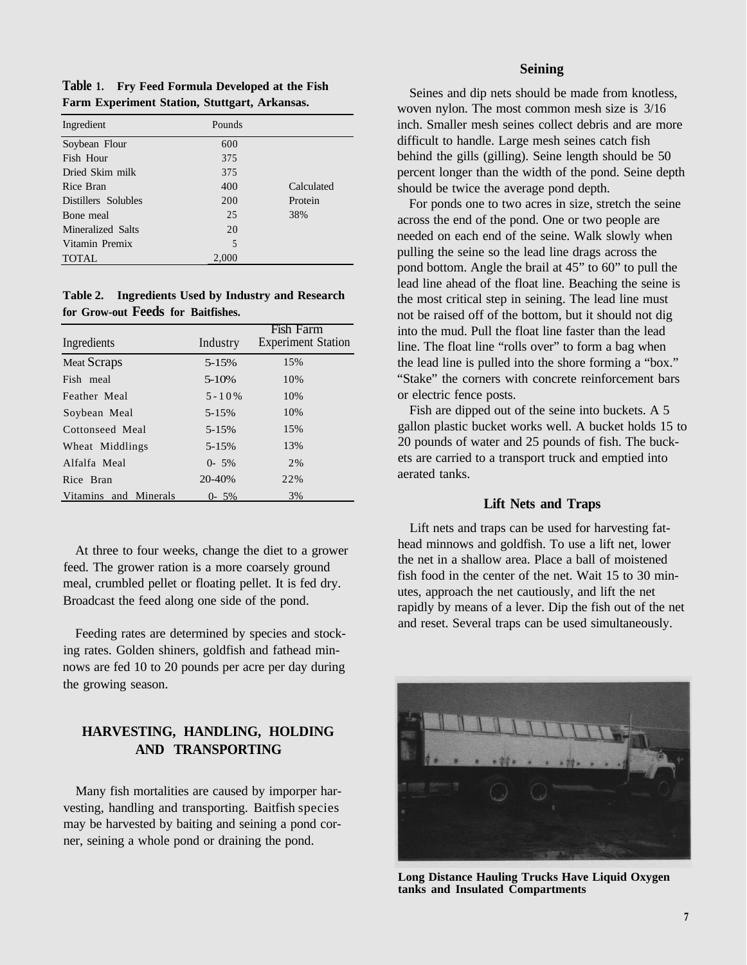**Table 1. Fry Feed Formula Developed at the Fish Farm Experiment Station, Stuttgart, Arkansas.**

| Ingredient          | Pounds |            |
|---------------------|--------|------------|
| Soybean Flour       | 600    |            |
| Fish Hour           | 375    |            |
| Dried Skim milk     | 375    |            |
| Rice Bran           | 400    | Calculated |
| Distillers Solubles | 200    | Protein    |
| Bone meal           | 25     | 38%        |
| Mineralized Salts   | 20     |            |
| Vitamin Premix      | 5      |            |
| <b>TOTAL</b>        | 2,000  |            |

**Table 2. Ingredients Used by Industry and Research for Grow-out Feeds for Baitfishes.**

| Ingredients           | Industry  | Fish Farm<br><b>Experiment Station</b> |
|-----------------------|-----------|----------------------------------------|
| <b>Meat Scraps</b>    | 5-15%     | 15%                                    |
| Fish meal             | $5 - 10%$ | 10%                                    |
| Feather Meal          | $5 - 10%$ | 10%                                    |
| Soybean Meal          | $5 - 15%$ | 10%                                    |
| Cottonseed Meal       | $5 - 15%$ | 15%                                    |
| Wheat Middlings       | $5 - 15%$ | 13%                                    |
| Alfalfa Meal          | $0 - 5\%$ | 2%                                     |
| Rice Bran             | 20-40%    | 22%                                    |
| Vitamins and Minerals | $0 - 5\%$ | 3%                                     |

At three to four weeks, change the diet to a grower feed. The grower ration is a more coarsely ground meal, crumbled pellet or floating pellet. It is fed dry. Broadcast the feed along one side of the pond.

Feeding rates are determined by species and stocking rates. Golden shiners, goldfish and fathead minnows are fed 10 to 20 pounds per acre per day during the growing season.

# **HARVESTING, HANDLING, HOLDING AND TRANSPORTING**

Many fish mortalities are caused by imporper harvesting, handling and transporting. Baitfish species may be harvested by baiting and seining a pond corner, seining a whole pond or draining the pond.

# **Seining**

Seines and dip nets should be made from knotless, woven nylon. The most common mesh size is 3/16 inch. Smaller mesh seines collect debris and are more difficult to handle. Large mesh seines catch fish behind the gills (gilling). Seine length should be 50 percent longer than the width of the pond. Seine depth should be twice the average pond depth.

For ponds one to two acres in size, stretch the seine across the end of the pond. One or two people are needed on each end of the seine. Walk slowly when pulling the seine so the lead line drags across the pond bottom. Angle the brail at 45" to 60" to pull the lead line ahead of the float line. Beaching the seine is the most critical step in seining. The lead line must not be raised off of the bottom, but it should not dig into the mud. Pull the float line faster than the lead line. The float line "rolls over" to form a bag when the lead line is pulled into the shore forming a "box." "Stake" the corners with concrete reinforcement bars or electric fence posts.

Fish are dipped out of the seine into buckets. A 5 gallon plastic bucket works well. A bucket holds 15 to 20 pounds of water and 25 pounds of fish. The buckets are carried to a transport truck and emptied into aerated tanks.

#### **Lift Nets and Traps**

Lift nets and traps can be used for harvesting fathead minnows and goldfish. To use a lift net, lower the net in a shallow area. Place a ball of moistened fish food in the center of the net. Wait 15 to 30 minutes, approach the net cautiously, and lift the net rapidly by means of a lever. Dip the fish out of the net and reset. Several traps can be used simultaneously.



**Long Distance Hauling Trucks Have Liquid Oxygen tanks and Insulated Compartments**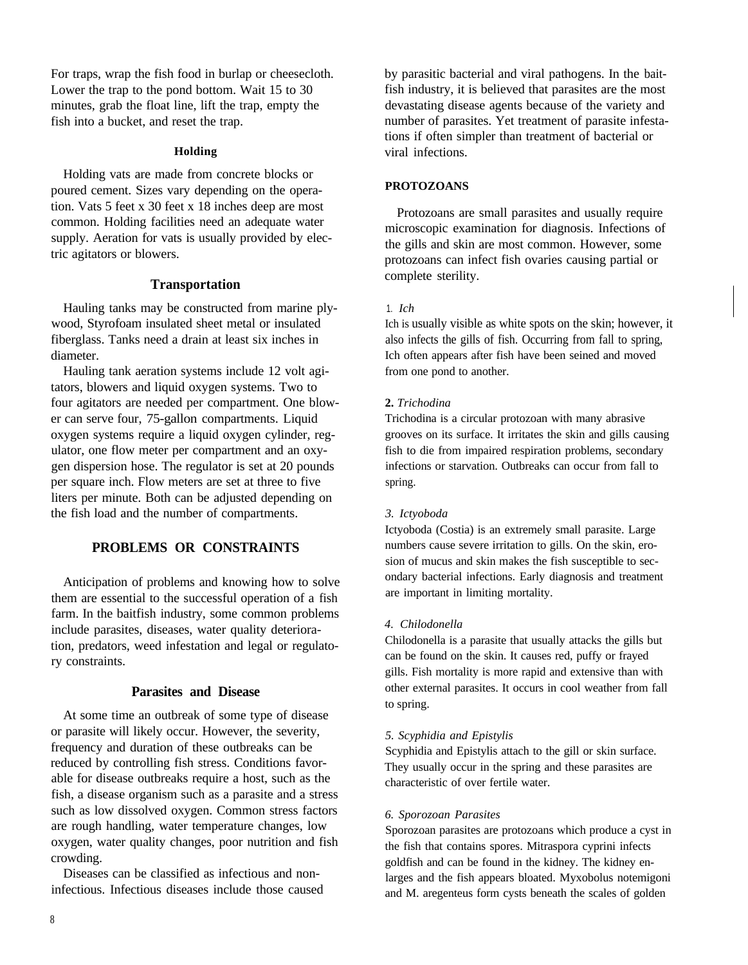For traps, wrap the fish food in burlap or cheesecloth. Lower the trap to the pond bottom. Wait 15 to 30 minutes, grab the float line, lift the trap, empty the fish into a bucket, and reset the trap.

# **Holding**

Holding vats are made from concrete blocks or poured cement. Sizes vary depending on the operation. Vats 5 feet x 30 feet x 18 inches deep are most common. Holding facilities need an adequate water supply. Aeration for vats is usually provided by electric agitators or blowers.

#### **Transportation**

Hauling tanks may be constructed from marine plywood, Styrofoam insulated sheet metal or insulated fiberglass. Tanks need a drain at least six inches in diameter.

Hauling tank aeration systems include 12 volt agitators, blowers and liquid oxygen systems. Two to four agitators are needed per compartment. One blower can serve four, 75-gallon compartments. Liquid oxygen systems require a liquid oxygen cylinder, regulator, one flow meter per compartment and an oxygen dispersion hose. The regulator is set at 20 pounds per square inch. Flow meters are set at three to five liters per minute. Both can be adjusted depending on the fish load and the number of compartments.

# **PROBLEMS OR CONSTRAINTS**

Anticipation of problems and knowing how to solve them are essential to the successful operation of a fish farm. In the baitfish industry, some common problems include parasites, diseases, water quality deterioration, predators, weed infestation and legal or regulatory constraints.

# **Parasites and Disease**

At some time an outbreak of some type of disease or parasite will likely occur. However, the severity, frequency and duration of these outbreaks can be reduced by controlling fish stress. Conditions favorable for disease outbreaks require a host, such as the fish, a disease organism such as a parasite and a stress such as low dissolved oxygen. Common stress factors are rough handling, water temperature changes, low oxygen, water quality changes, poor nutrition and fish crowding.

Diseases can be classified as infectious and noninfectious. Infectious diseases include those caused by parasitic bacterial and viral pathogens. In the baitfish industry, it is believed that parasites are the most devastating disease agents because of the variety and number of parasites. Yet treatment of parasite infestations if often simpler than treatment of bacterial or viral infections.

#### **PROTOZOANS**

Protozoans are small parasites and usually require microscopic examination for diagnosis. Infections of the gills and skin are most common. However, some protozoans can infect fish ovaries causing partial or complete sterility.

#### 1. *Ich*

Ich is usually visible as white spots on the skin; however, it also infects the gills of fish. Occurring from fall to spring, Ich often appears after fish have been seined and moved from one pond to another.

#### **2.** *Trichodina*

Trichodina is a circular protozoan with many abrasive grooves on its surface. It irritates the skin and gills causing fish to die from impaired respiration problems, secondary infections or starvation. Outbreaks can occur from fall to spring.

#### *3. Ictyoboda*

Ictyoboda (Costia) is an extremely small parasite. Large numbers cause severe irritation to gills. On the skin, erosion of mucus and skin makes the fish susceptible to secondary bacterial infections. Early diagnosis and treatment are important in limiting mortality.

#### *4. Chilodonella*

Chilodonella is a parasite that usually attacks the gills but can be found on the skin. It causes red, puffy or frayed gills. Fish mortality is more rapid and extensive than with other external parasites. It occurs in cool weather from fall to spring.

#### *5. Scyphidia and Epistylis*

Scyphidia and Epistylis attach to the gill or skin surface. They usually occur in the spring and these parasites are characteristic of over fertile water.

#### *6. Sporozoan Parasites*

Sporozoan parasites are protozoans which produce a cyst in the fish that contains spores. Mitraspora cyprini infects goldfish and can be found in the kidney. The kidney enlarges and the fish appears bloated. Myxobolus notemigoni and M. aregenteus form cysts beneath the scales of golden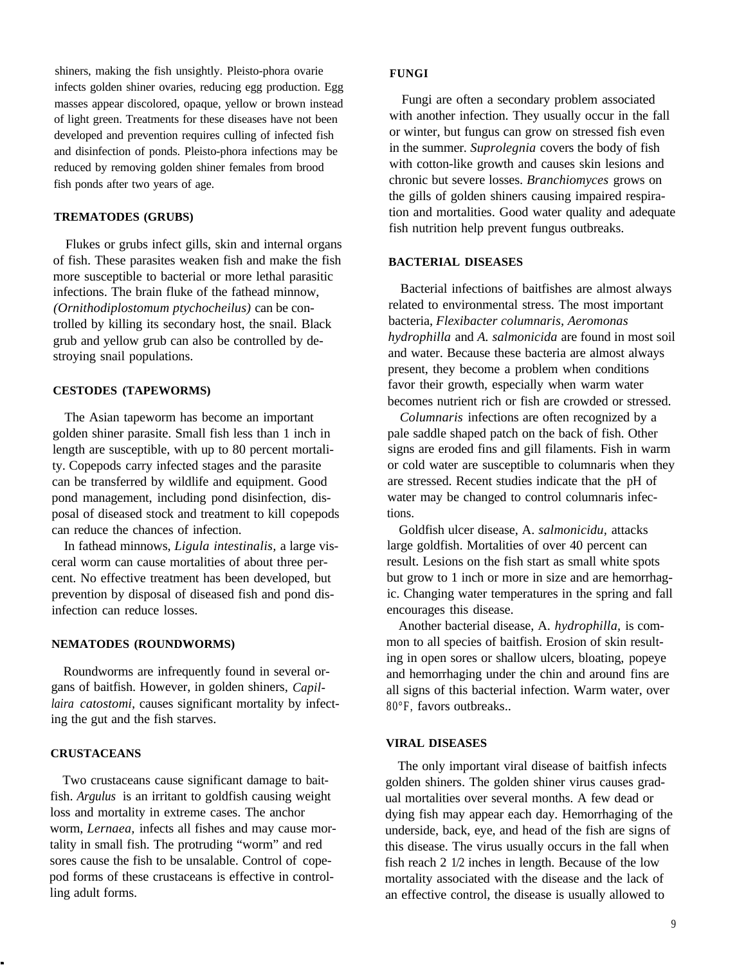shiners, making the fish unsightly. Pleisto-phora ovarie infects golden shiner ovaries, reducing egg production. Egg masses appear discolored, opaque, yellow or brown instead of light green. Treatments for these diseases have not been developed and prevention requires culling of infected fish and disinfection of ponds. Pleisto-phora infections may be reduced by removing golden shiner females from brood fish ponds after two years of age.

#### **TREMATODES (GRUBS)**

Flukes or grubs infect gills, skin and internal organs of fish. These parasites weaken fish and make the fish more susceptible to bacterial or more lethal parasitic infections. The brain fluke of the fathead minnow, *(Ornithodiplostomum ptychocheilus)* can be controlled by killing its secondary host, the snail. Black grub and yellow grub can also be controlled by destroying snail populations.

#### **CESTODES (TAPEWORMS)**

The Asian tapeworm has become an important golden shiner parasite. Small fish less than 1 inch in length are susceptible, with up to 80 percent mortality. Copepods carry infected stages and the parasite can be transferred by wildlife and equipment. Good pond management, including pond disinfection, disposal of diseased stock and treatment to kill copepods can reduce the chances of infection.

In fathead minnows, *Ligula intestinalis,* a large visceral worm can cause mortalities of about three percent. No effective treatment has been developed, but prevention by disposal of diseased fish and pond disinfection can reduce losses.

#### **NEMATODES (ROUNDWORMS)**

Roundworms are infrequently found in several organs of baitfish. However, in golden shiners, *Capillaira catostomi,* causes significant mortality by infecting the gut and the fish starves.

#### **CRUSTACEANS**

Two crustaceans cause significant damage to baitfish. *Argulus* is an irritant to goldfish causing weight loss and mortality in extreme cases. The anchor worm, *Lernaea,* infects all fishes and may cause mortality in small fish. The protruding "worm" and red sores cause the fish to be unsalable. Control of copepod forms of these crustaceans is effective in controlling adult forms.

#### **FUNGI**

Fungi are often a secondary problem associated with another infection. They usually occur in the fall or winter, but fungus can grow on stressed fish even in the summer. *Suprolegnia* covers the body of fish with cotton-like growth and causes skin lesions and chronic but severe losses. *Branchiomyces* grows on the gills of golden shiners causing impaired respiration and mortalities. Good water quality and adequate fish nutrition help prevent fungus outbreaks.

#### **BACTERIAL DISEASES**

Bacterial infections of baitfishes are almost always related to environmental stress. The most important bacteria, *Flexibacter columnaris, Aeromonas hydrophilla* and *A. salmonicida* are found in most soil and water. Because these bacteria are almost always present, they become a problem when conditions favor their growth, especially when warm water becomes nutrient rich or fish are crowded or stressed.

*Columnaris* infections are often recognized by a pale saddle shaped patch on the back of fish. Other signs are eroded fins and gill filaments. Fish in warm or cold water are susceptible to columnaris when they are stressed. Recent studies indicate that the pH of water may be changed to control columnaris infections.

Goldfish ulcer disease, A. *salmonicidu,* attacks large goldfish. Mortalities of over 40 percent can result. Lesions on the fish start as small white spots but grow to 1 inch or more in size and are hemorrhagic. Changing water temperatures in the spring and fall encourages this disease.

Another bacterial disease, A. *hydrophilla,* is common to all species of baitfish. Erosion of skin resulting in open sores or shallow ulcers, bloating, popeye and hemorrhaging under the chin and around fins are all signs of this bacterial infection. Warm water, over 80°F, favors outbreaks..

#### **VIRAL DISEASES**

The only important viral disease of baitfish infects golden shiners. The golden shiner virus causes gradual mortalities over several months. A few dead or dying fish may appear each day. Hemorrhaging of the underside, back, eye, and head of the fish are signs of this disease. The virus usually occurs in the fall when fish reach 2 1/2 inches in length. Because of the low mortality associated with the disease and the lack of an effective control, the disease is usually allowed to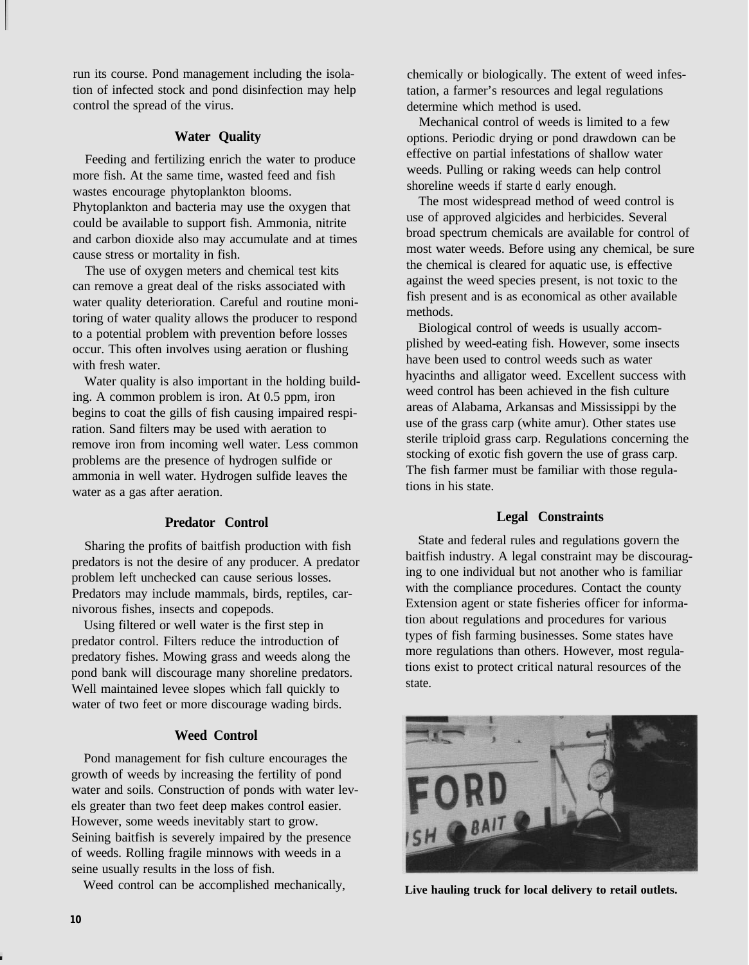run its course. Pond management including the isolation of infected stock and pond disinfection may help control the spread of the virus.

# **Water Quality**

Feeding and fertilizing enrich the water to produce more fish. At the same time, wasted feed and fish wastes encourage phytoplankton blooms. Phytoplankton and bacteria may use the oxygen that could be available to support fish. Ammonia, nitrite and carbon dioxide also may accumulate and at times cause stress or mortality in fish.

The use of oxygen meters and chemical test kits can remove a great deal of the risks associated with water quality deterioration. Careful and routine monitoring of water quality allows the producer to respond to a potential problem with prevention before losses occur. This often involves using aeration or flushing with fresh water.

Water quality is also important in the holding building. A common problem is iron. At 0.5 ppm, iron begins to coat the gills of fish causing impaired respiration. Sand filters may be used with aeration to remove iron from incoming well water. Less common problems are the presence of hydrogen sulfide or ammonia in well water. Hydrogen sulfide leaves the water as a gas after aeration.

# **Predator Control**

Sharing the profits of baitfish production with fish predators is not the desire of any producer. A predator problem left unchecked can cause serious losses. Predators may include mammals, birds, reptiles, carnivorous fishes, insects and copepods.

Using filtered or well water is the first step in predator control. Filters reduce the introduction of predatory fishes. Mowing grass and weeds along the pond bank will discourage many shoreline predators. Well maintained levee slopes which fall quickly to water of two feet or more discourage wading birds.

# **Weed Control**

Pond management for fish culture encourages the growth of weeds by increasing the fertility of pond water and soils. Construction of ponds with water levels greater than two feet deep makes control easier. However, some weeds inevitably start to grow. Seining baitfish is severely impaired by the presence of weeds. Rolling fragile minnows with weeds in a seine usually results in the loss of fish.

Weed control can be accomplished mechanically,

chemically or biologically. The extent of weed infestation, a farmer's resources and legal regulations determine which method is used.

Mechanical control of weeds is limited to a few options. Periodic drying or pond drawdown can be effective on partial infestations of shallow water weeds. Pulling or raking weeds can help control shoreline weeds if starte d early enough.

The most widespread method of weed control is use of approved algicides and herbicides. Several broad spectrum chemicals are available for control of most water weeds. Before using any chemical, be sure the chemical is cleared for aquatic use, is effective against the weed species present, is not toxic to the fish present and is as economical as other available methods.

Biological control of weeds is usually accomplished by weed-eating fish. However, some insects have been used to control weeds such as water hyacinths and alligator weed. Excellent success with weed control has been achieved in the fish culture areas of Alabama, Arkansas and Mississippi by the use of the grass carp (white amur). Other states use sterile triploid grass carp. Regulations concerning the stocking of exotic fish govern the use of grass carp. The fish farmer must be familiar with those regulations in his state.

# **Legal Constraints**

State and federal rules and regulations govern the baitfish industry. A legal constraint may be discouraging to one individual but not another who is familiar with the compliance procedures. Contact the county Extension agent or state fisheries officer for information about regulations and procedures for various types of fish farming businesses. Some states have more regulations than others. However, most regulations exist to protect critical natural resources of the state.



**Live hauling truck for local delivery to retail outlets.**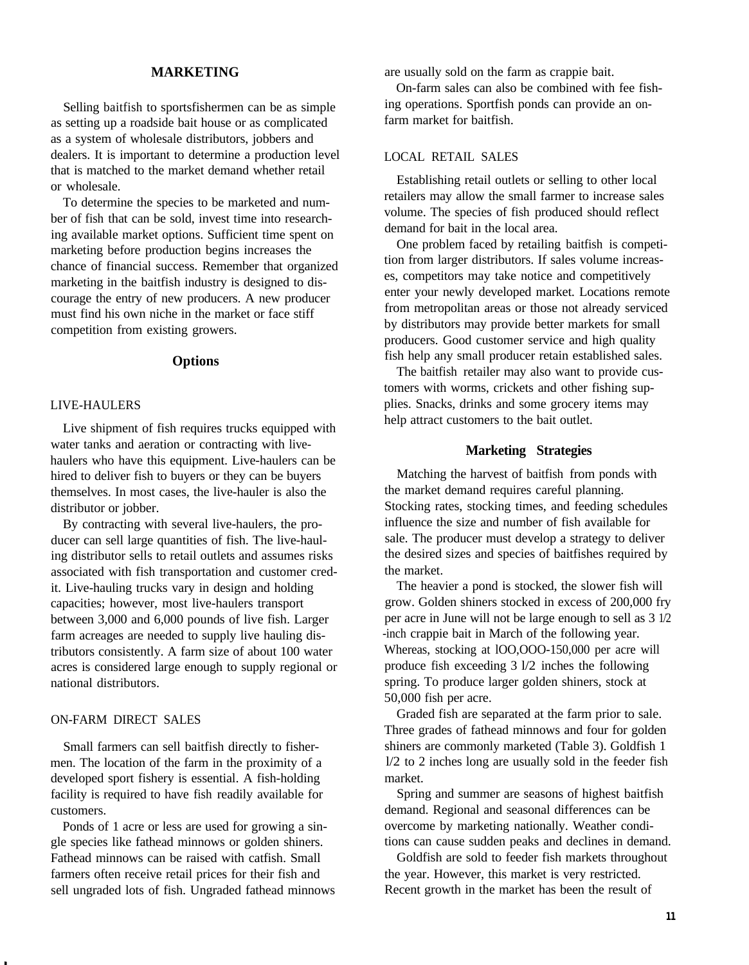# **MARKETING**

Selling baitfish to sportsfishermen can be as simple as setting up a roadside bait house or as complicated as a system of wholesale distributors, jobbers and dealers. It is important to determine a production level that is matched to the market demand whether retail or wholesale.

To determine the species to be marketed and number of fish that can be sold, invest time into researching available market options. Sufficient time spent on marketing before production begins increases the chance of financial success. Remember that organized marketing in the baitfish industry is designed to discourage the entry of new producers. A new producer must find his own niche in the market or face stiff competition from existing growers.

# **Options**

## LIVE-HAULERS

Live shipment of fish requires trucks equipped with water tanks and aeration or contracting with livehaulers who have this equipment. Live-haulers can be hired to deliver fish to buyers or they can be buyers themselves. In most cases, the live-hauler is also the distributor or jobber.

By contracting with several live-haulers, the producer can sell large quantities of fish. The live-hauling distributor sells to retail outlets and assumes risks associated with fish transportation and customer credit. Live-hauling trucks vary in design and holding capacities; however, most live-haulers transport between 3,000 and 6,000 pounds of live fish. Larger farm acreages are needed to supply live hauling distributors consistently. A farm size of about 100 water acres is considered large enough to supply regional or national distributors.

# ON-FARM DIRECT SALES

Small farmers can sell baitfish directly to fishermen. The location of the farm in the proximity of a developed sport fishery is essential. A fish-holding facility is required to have fish readily available for customers.

Ponds of 1 acre or less are used for growing a single species like fathead minnows or golden shiners. Fathead minnows can be raised with catfish. Small farmers often receive retail prices for their fish and sell ungraded lots of fish. Ungraded fathead minnows are usually sold on the farm as crappie bait.

On-farm sales can also be combined with fee fishing operations. Sportfish ponds can provide an onfarm market for baitfish.

#### LOCAL RETAIL SALES

Establishing retail outlets or selling to other local retailers may allow the small farmer to increase sales volume. The species of fish produced should reflect demand for bait in the local area.

One problem faced by retailing baitfish is competition from larger distributors. If sales volume increases, competitors may take notice and competitively enter your newly developed market. Locations remote from metropolitan areas or those not already serviced by distributors may provide better markets for small producers. Good customer service and high quality fish help any small producer retain established sales.

The baitfish retailer may also want to provide customers with worms, crickets and other fishing supplies. Snacks, drinks and some grocery items may help attract customers to the bait outlet.

#### **Marketing Strategies**

Matching the harvest of baitfish from ponds with the market demand requires careful planning. Stocking rates, stocking times, and feeding schedules influence the size and number of fish available for sale. The producer must develop a strategy to deliver the desired sizes and species of baitfishes required by the market.

The heavier a pond is stocked, the slower fish will grow. Golden shiners stocked in excess of 200,000 fry per acre in June will not be large enough to sell as 3 1/2 -inch crappie bait in March of the following year. Whereas, stocking at lOO,OOO-150,000 per acre will produce fish exceeding 3 l/2 inches the following spring. To produce larger golden shiners, stock at 50,000 fish per acre.

Graded fish are separated at the farm prior to sale. Three grades of fathead minnows and four for golden shiners are commonly marketed (Table 3). Goldfish 1 l/2 to 2 inches long are usually sold in the feeder fish market.

Spring and summer are seasons of highest baitfish demand. Regional and seasonal differences can be overcome by marketing nationally. Weather conditions can cause sudden peaks and declines in demand.

Goldfish are sold to feeder fish markets throughout the year. However, this market is very restricted. Recent growth in the market has been the result of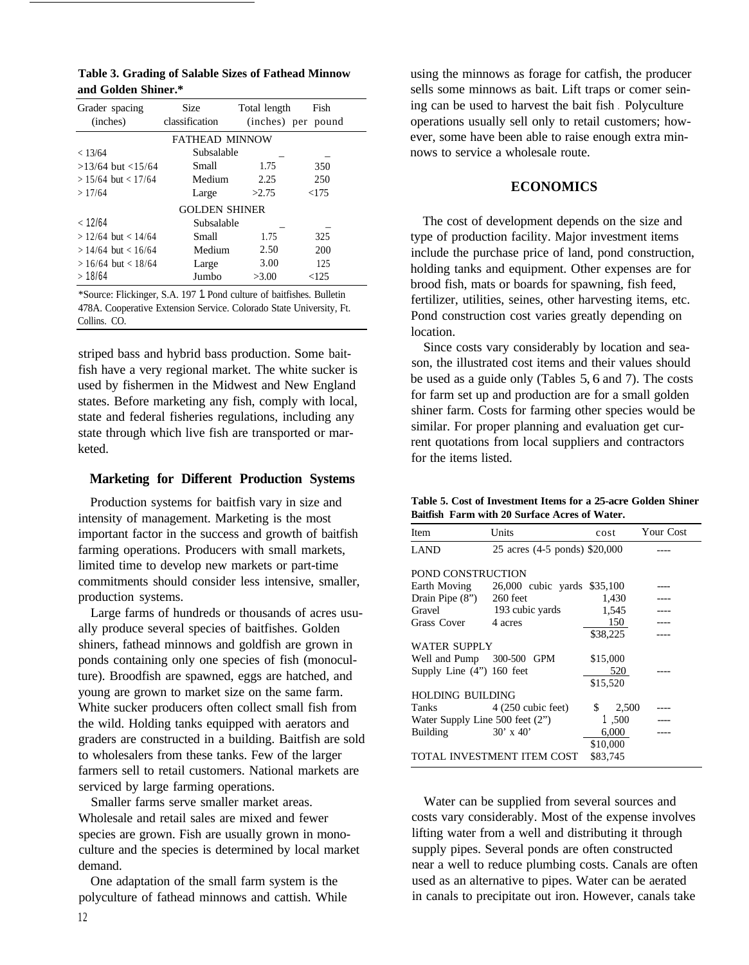| Table 3. Grading of Salable Sizes of Fathead Minnow |  |
|-----------------------------------------------------|--|
| and Golden Shiner.*                                 |  |

| Grader spacing          | Size                  | Total length | Fish               |  |
|-------------------------|-----------------------|--------------|--------------------|--|
| (inches)                | classification        |              | (inches) per pound |  |
|                         | <b>FATHEAD MINNOW</b> |              |                    |  |
| < 13/64                 | Subsalable            |              |                    |  |
| $>13/64$ but $<15/64$   | Small                 | 1.75         | 350                |  |
| $> 15/64$ but $< 17/64$ | Medium                | 2.25         | 250                |  |
| >17/64                  | Large                 | >2.75        | < 175              |  |
| <b>GOLDEN SHINER</b>    |                       |              |                    |  |
| < 12/64                 | Subsalable            |              |                    |  |
| $> 12/64$ but $< 14/64$ | Small                 | 1.75         | 325                |  |
| $> 14/64$ but $< 16/64$ | Medium                | 2.50         | 200                |  |
| $> 16/64$ but $< 18/64$ | Large                 | 3.00         | 125                |  |
| >18/64                  | Jumbo                 | >3.00        | < 125              |  |

\*Source: Flickinger, S.A. 197 1. Pond culture of baitfishes. Bulletin 478A. Cooperative Extension Service. Colorado State University, Ft. Collins. CO.

striped bass and hybrid bass production. Some baitfish have a very regional market. The white sucker is used by fishermen in the Midwest and New England states. Before marketing any fish, comply with local, state and federal fisheries regulations, including any state through which live fish are transported or marketed.

#### **Marketing for Different Production Systems**

Production systems for baitfish vary in size and intensity of management. Marketing is the most important factor in the success and growth of baitfish farming operations. Producers with small markets, limited time to develop new markets or part-time commitments should consider less intensive, smaller, production systems.

Large farms of hundreds or thousands of acres usually produce several species of baitfishes. Golden shiners, fathead minnows and goldfish are grown in ponds containing only one species of fish (monoculture). Broodfish are spawned, eggs are hatched, and young are grown to market size on the same farm. White sucker producers often collect small fish from the wild. Holding tanks equipped with aerators and graders are constructed in a building. Baitfish are sold to wholesalers from these tanks. Few of the larger farmers sell to retail customers. National markets are serviced by large farming operations.

Smaller farms serve smaller market areas. Wholesale and retail sales are mixed and fewer species are grown. Fish are usually grown in monoculture and the species is determined by local market demand.

One adaptation of the small farm system is the polyculture of fathead minnows and cattish. While using the minnows as forage for catfish, the producer sells some minnows as bait. Lift traps or comer seining can be used to harvest the bait fish . Polyculture operations usually sell only to retail customers; however, some have been able to raise enough extra minnows to service a wholesale route.

# **ECONOMICS**

The cost of development depends on the size and type of production facility. Major investment items include the purchase price of land, pond construction, holding tanks and equipment. Other expenses are for brood fish, mats or boards for spawning, fish feed, fertilizer, utilities, seines, other harvesting items, etc. Pond construction cost varies greatly depending on location.

Since costs vary considerably by location and season, the illustrated cost items and their values should be used as a guide only (Tables 5, 6 and 7). The costs for farm set up and production are for a small golden shiner farm. Costs for farming other species would be similar. For proper planning and evaluation get current quotations from local suppliers and contractors for the items listed.

|  | Table 5. Cost of Investment Items for a 25-acre Golden Shiner |  |  |  |
|--|---------------------------------------------------------------|--|--|--|
|  | Baitfish Farm with 20 Surface Acres of Water.                 |  |  |  |

| Item                            | Units                         | cost        | Your Cost |  |
|---------------------------------|-------------------------------|-------------|-----------|--|
| <b>LAND</b>                     | 25 acres (4-5 ponds) \$20,000 |             |           |  |
|                                 |                               |             |           |  |
| POND CONSTRUCTION               |                               |             |           |  |
| Earth Moving                    | 26,000 cubic yards \$35,100   |             |           |  |
| Drain Pipe $(8")$ 260 feet      |                               | 1,430       |           |  |
| Gravel                          | 193 cubic yards               | 1,545       |           |  |
| Grass Cover                     | 4 acres                       | 150         |           |  |
|                                 |                               | \$38,225    |           |  |
| WATER SUPPLY                    |                               |             |           |  |
| Well and Pump 300-500 GPM       |                               | \$15,000    |           |  |
| Supply Line $(4'')$ 160 feet    |                               | 520         |           |  |
|                                 |                               | \$15,520    |           |  |
| HOLDING BUILDING                |                               |             |           |  |
| Tanks                           | $4(250 \text{ cubic feet})$   | \$<br>2,500 |           |  |
| Water Supply Line 500 feet (2") |                               | 1,500       |           |  |
| Building                        | $30' \times 40'$              | 6,000       |           |  |
|                                 |                               | \$10,000    |           |  |
|                                 | TOTAL INVESTMENT ITEM COST    | \$83.745    |           |  |

Water can be supplied from several sources and costs vary considerably. Most of the expense involves lifting water from a well and distributing it through supply pipes. Several ponds are often constructed near a well to reduce plumbing costs. Canals are often used as an alternative to pipes. Water can be aerated in canals to precipitate out iron. However, canals take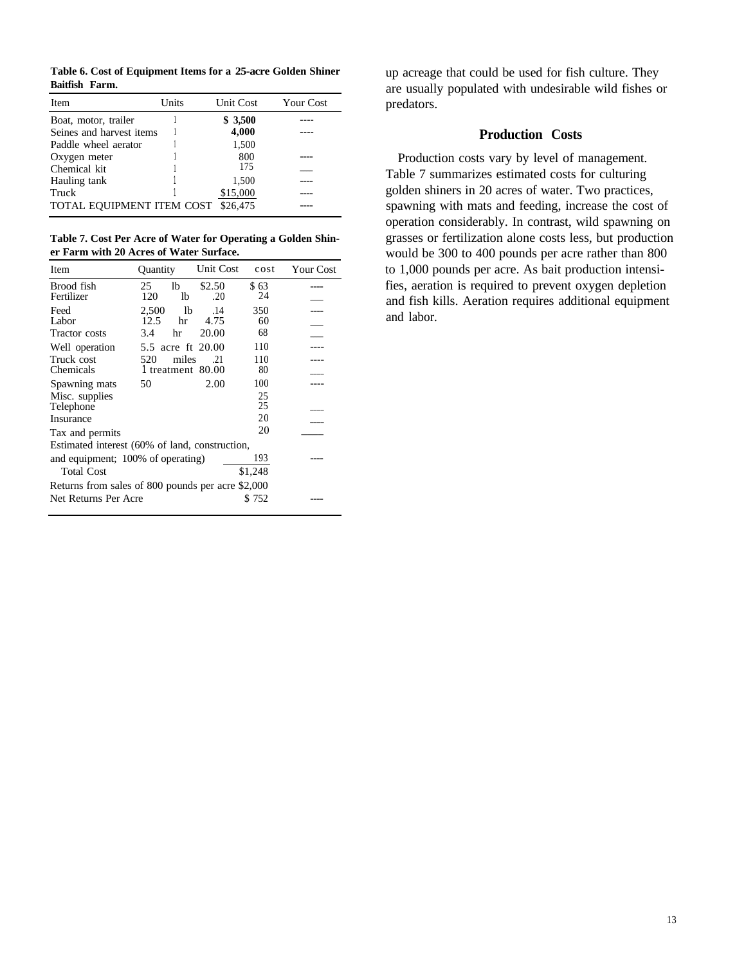**Table 6. Cost of Equipment Items for a 25-acre Golden Shiner Baitfish Farm.**

| Item                      | Units | Unit Cost | <b>Your Cost</b> |
|---------------------------|-------|-----------|------------------|
| Boat, motor, trailer      |       | \$3,500   |                  |
| Seines and harvest items  |       | 4,000     |                  |
| Paddle wheel aerator      |       | 1,500     |                  |
| Oxygen meter              |       | 800       |                  |
| Chemical kit              |       | 175       |                  |
| Hauling tank              |       | 1,500     |                  |
| Truck                     |       | \$15,000  |                  |
| TOTAL EQUIPMENT ITEM COST |       | \$26,475  |                  |

**Table 7. Cost Per Acre of Water for Operating a Golden Shiner Farm with 20 Acres of Water Surface.**  $\overline{\phantom{a}}$ 

| Item                                              | <b>Ouantity</b>                   | Unit Cost     | cost       | Your Cost |  |
|---------------------------------------------------|-----------------------------------|---------------|------------|-----------|--|
| Brood fish<br>Fertilizer                          | lb<br>25<br>120<br>lb             | \$2.50<br>.20 | \$63<br>24 |           |  |
| Feed<br>Labor                                     | 2,500<br>lb<br>12.5<br>hr         | .14<br>4.75   | 350<br>60  |           |  |
| Tractor costs                                     | 3.4<br>hr                         | 20.00         | 68         |           |  |
| Well operation                                    | 5.5 acre ft 20.00                 |               | 110        |           |  |
| Truck cost<br>Chemicals                           | miles<br>520<br>1 treatment 80.00 | .21           | 110<br>80  |           |  |
| Spawning mats                                     | 50                                | 2.00          | 100        |           |  |
| Misc. supplies<br>Telephone                       |                                   |               | 25<br>25   |           |  |
| Insurance                                         |                                   |               | 20         |           |  |
| Tax and permits                                   |                                   |               | 20         |           |  |
| Estimated interest (60% of land, construction,    |                                   |               |            |           |  |
| and equipment; 100% of operating)                 |                                   |               | 193        |           |  |
| <b>Total Cost</b>                                 |                                   |               | \$1,248    |           |  |
| Returns from sales of 800 pounds per acre \$2,000 |                                   |               |            |           |  |
| Net Returns Per Acre                              |                                   |               | \$ 752     |           |  |

up acreage that could be used for fish culture. They are usually populated with undesirable wild fishes or predators.

# **Production Costs**

Production costs vary by level of management. Table 7 summarizes estimated costs for culturing golden shiners in 20 acres of water. Two practices, spawning with mats and feeding, increase the cost of operation considerably. In contrast, wild spawning on grasses or fertilization alone costs less, but production would be 300 to 400 pounds per acre rather than 800 to 1,000 pounds per acre. As bait production intensifies, aeration is required to prevent oxygen depletion and fish kills. Aeration requires additional equipment and labor.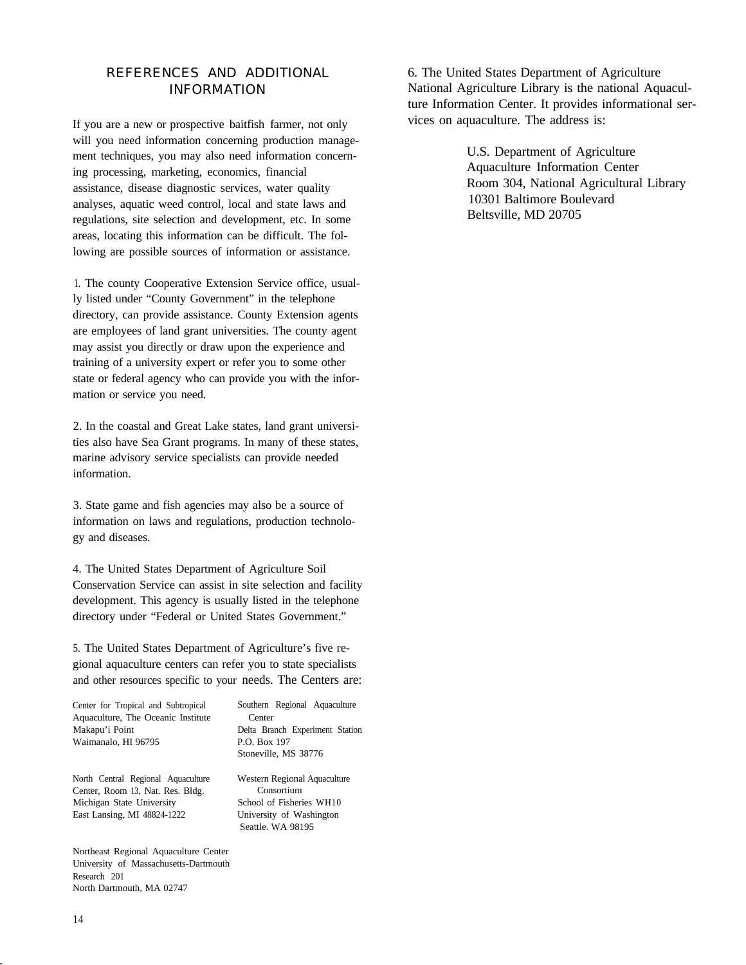# REFERENCES AND ADDITIONAL INFORMATION

If you are a new or prospective baitfish farmer, not only will you need information concerning production management techniques, you may also need information concerning processing, marketing, economics, financial assistance, disease diagnostic services, water quality analyses, aquatic weed control, local and state laws and regulations, site selection and development, etc. In some areas, locating this information can be difficult. The following are possible sources of information or assistance.

1. The county Cooperative Extension Service office, usually listed under "County Government" in the telephone directory, can provide assistance. County Extension agents are employees of land grant universities. The county agent may assist you directly or draw upon the experience and training of a university expert or refer you to some other state or federal agency who can provide you with the information or service you need.

2. In the coastal and Great Lake states, land grant universities also have Sea Grant programs. In many of these states, marine advisory service specialists can provide needed information.

3. State game and fish agencies may also be a source of information on laws and regulations, production technology and diseases.

4. The United States Department of Agriculture Soil Conservation Service can assist in site selection and facility development. This agency is usually listed in the telephone directory under "Federal or United States Government."

5. The United States Department of Agriculture's five regional aquaculture centers can refer you to state specialists and other resources specific to your needs. The Centers are:

| Center for Tropical and Subtropical | Southern Regional Aquaculture   |
|-------------------------------------|---------------------------------|
| Aquaculture, The Oceanic Institute  | Center                          |
| Makapu'i Point                      | Delta Branch Experiment Station |
| Waimanalo, HI 96795                 | P.O. Box 197                    |
|                                     | Stoneville, MS 38776            |
|                                     |                                 |

North Central Regional Aquaculture Center, Room 13, Nat. Res. Bldg. Michigan State University East Lansing, MI 48824-1222

Northeast Regional Aquaculture Center University of Massachusetts-Dartmouth Research 201 North Dartmouth, MA 02747

6. The United States Department of Agriculture National Agriculture Library is the national Aquaculture Information Center. It provides informational services on aquaculture. The address is:

> U.S. Department of Agriculture Aquaculture Information Center Room 304, National Agricultural Library 10301 Baltimore Boulevard Beltsville, MD 20705

Western Regional Aquaculture Consortium School of Fisheries WH10 University of Washington Seattle. WA 98195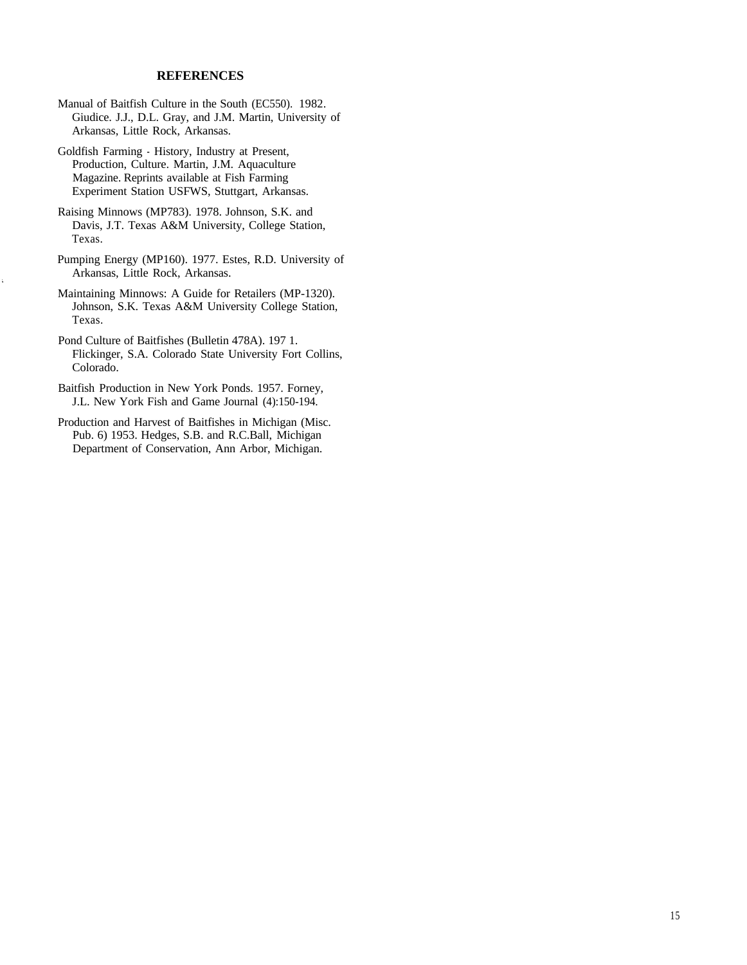#### **REFERENCES**

- Manual of Baitfish Culture in the South (EC550). 1982. Giudice. J.J., D.L. Gray, and J.M. Martin, University of Arkansas, Little Rock, Arkansas.
- Goldfish Farming History, Industry at Present, Production, Culture. Martin, J.M. Aquaculture Magazine. Reprints available at Fish Farming Experiment Station USFWS, Stuttgart, Arkansas.
- Raising Minnows (MP783). 1978. Johnson, S.K. and Davis, J.T. Texas A&M University, College Station, Texas.
- Pumping Energy (MP160). 1977. Estes, R.D. University of Arkansas, Little Rock, Arkansas.
- Maintaining Minnows: A Guide for Retailers (MP-1320). Johnson, S.K. Texas A&M University College Station, Texas.
- Pond Culture of Baitfishes (Bulletin 478A). 197 1. Flickinger, S.A. Colorado State University Fort Collins, Colorado.
- Baitfish Production in New York Ponds. 1957. Forney, J.L. New York Fish and Game Journal (4):150-194.
- Production and Harvest of Baitfishes in Michigan (Misc. Pub. 6) 1953. Hedges, S.B. and R.C.Ball, Michigan Department of Conservation, Ann Arbor, Michigan.